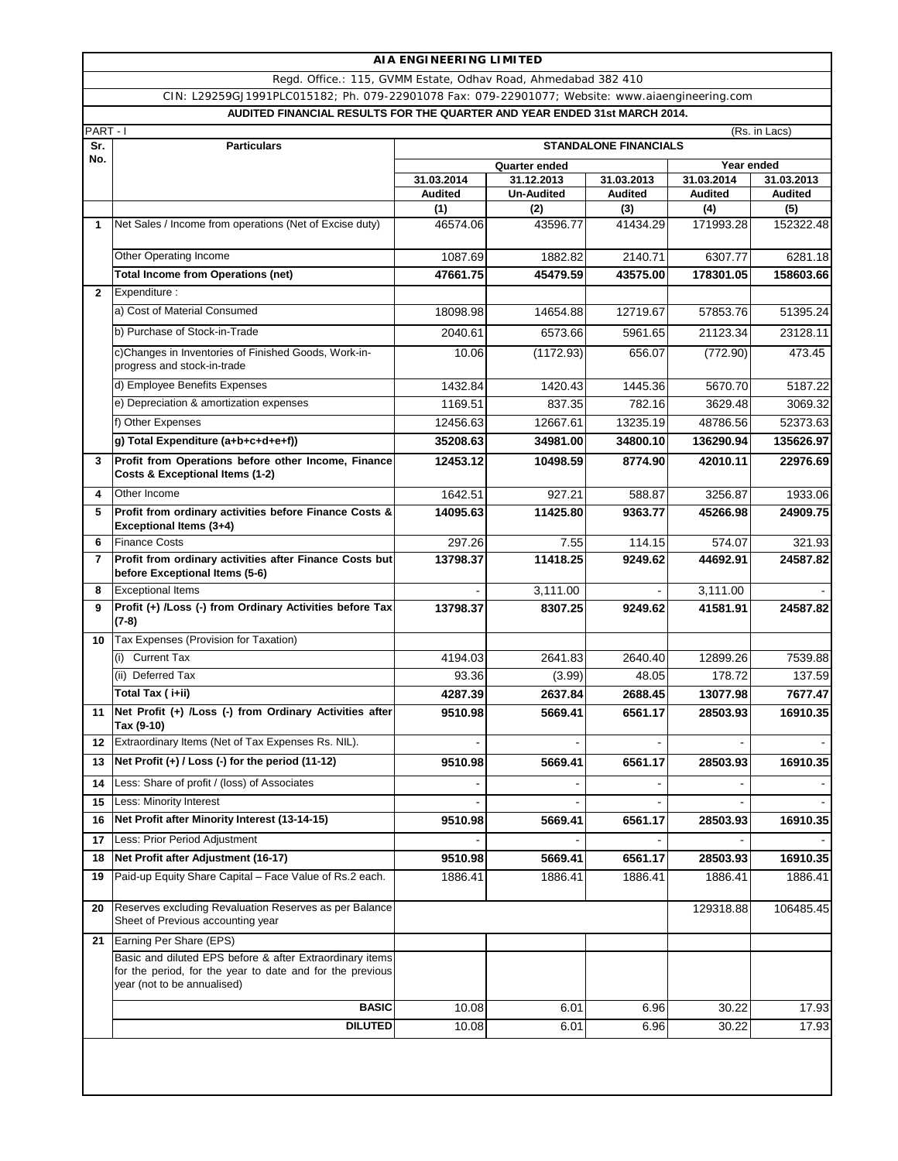Regd. Office.: 115, GVMM Estate, Odhav Road, Ahmedabad 382 410

**AUDITED FINANCIAL RESULTS FOR THE QUARTER AND YEAR ENDED 31st MARCH 2014.** CIN: L29259GJ1991PLC015182; Ph. 079-22901078 Fax: 079-22901077; Website: www.aiaengineering.com

|                | PART-I<br>(Rs. in Lacs)                                                                                                                              |                 |                   |                 |                  |                  |
|----------------|------------------------------------------------------------------------------------------------------------------------------------------------------|-----------------|-------------------|-----------------|------------------|------------------|
| Sr.            | <b>Particulars</b><br><b>STANDALONE FINANCIALS</b>                                                                                                   |                 |                   |                 |                  |                  |
| No.            |                                                                                                                                                      |                 | Quarter ended     | Year ended      |                  |                  |
|                |                                                                                                                                                      | 31.03.2014      | 31.12.2013        | 31.03.2013      | 31.03.2014       | 31.03.2013       |
|                |                                                                                                                                                      | <b>Audited</b>  | <b>Un-Audited</b> | <b>Audited</b>  | <b>Audited</b>   | <b>Audited</b>   |
| 1              | Net Sales / Income from operations (Net of Excise duty)                                                                                              | (1)<br>46574.06 | (2)<br>43596.77   | (3)<br>41434.29 | (4)<br>171993.28 | (5)<br>152322.48 |
|                |                                                                                                                                                      |                 |                   |                 |                  |                  |
|                | Other Operating Income                                                                                                                               | 1087.69         | 1882.82           | 2140.71         | 6307.77          | 6281.18          |
|                | <b>Total Income from Operations (net)</b>                                                                                                            | 47661.75        | 45479.59          | 43575.00        | 178301.05        | 158603.66        |
| $\mathbf{2}$   | Expenditure :                                                                                                                                        |                 |                   |                 |                  |                  |
|                | a) Cost of Material Consumed                                                                                                                         | 18098.98        | 14654.88          | 12719.67        | 57853.76         | 51395.24         |
|                | b) Purchase of Stock-in-Trade                                                                                                                        | 2040.61         | 6573.66           | 5961.65         | 21123.34         | 23128.11         |
|                | c)Changes in Inventories of Finished Goods, Work-in-<br>progress and stock-in-trade                                                                  | 10.06           | (1172.93)         | 656.07          | (772.90)         | 473.45           |
|                | d) Employee Benefits Expenses                                                                                                                        | 1432.84         | 1420.43           | 1445.36         | 5670.70          | 5187.22          |
|                | e) Depreciation & amortization expenses                                                                                                              | 1169.51         | 837.35            | 782.16          | 3629.48          | 3069.32          |
|                | f) Other Expenses                                                                                                                                    | 12456.63        | 12667.61          | 13235.19        | 48786.56         | 52373.63         |
|                | g) Total Expenditure (a+b+c+d+e+f))                                                                                                                  | 35208.63        | 34981.00          | 34800.10        | 136290.94        | 135626.97        |
| 3              | Profit from Operations before other Income, Finance<br>Costs & Exceptional Items (1-2)                                                               | 12453.12        | 10498.59          | 8774.90         | 42010.11         | 22976.69         |
| 4              | Other Income                                                                                                                                         | 1642.51         | 927.21            | 588.87          | 3256.87          | 1933.06          |
| 5              | Profit from ordinary activities before Finance Costs &<br>Exceptional Items (3+4)                                                                    | 14095.63        | 11425.80          | 9363.77         | 45266.98         | 24909.75         |
| 6              | <b>Finance Costs</b>                                                                                                                                 | 297.26          | 7.55              | 114.15          | 574.07           | 321.93           |
| $\overline{7}$ | Profit from ordinary activities after Finance Costs but<br>before Exceptional Items (5-6)                                                            | 13798.37        | 11418.25          | 9249.62         | 44692.91         | 24587.82         |
| 8              | <b>Exceptional Items</b>                                                                                                                             |                 | 3,111.00          |                 | 3,111.00         |                  |
| 9              | Profit (+) /Loss (-) from Ordinary Activities before Tax<br>$(7-8)$                                                                                  | 13798.37        | 8307.25           | 9249.62         | 41581.91         | 24587.82         |
| 10             | Tax Expenses (Provision for Taxation)                                                                                                                |                 |                   |                 |                  |                  |
|                | (i) Current Tax                                                                                                                                      | 4194.03         | 2641.83           | 2640.40         | 12899.26         | 7539.88          |
|                | (ii) Deferred Tax                                                                                                                                    | 93.36           | (3.99)            | 48.05           | 178.72           | 137.59           |
|                | Total Tax (i+ii)                                                                                                                                     | 4287.39         | 2637.84           | 2688.45         | 13077.98         | 7677.47          |
| 11             | Net Profit (+) /Loss (-) from Ordinary Activities after<br>Tax (9-10)                                                                                | 9510.98         | 5669.41           | 6561.17         | 28503.93         | 16910.35         |
| 12             | Extraordinary Items (Net of Tax Expenses Rs. NIL).                                                                                                   |                 |                   |                 |                  |                  |
| 13             | Net Profit (+) / Loss (-) for the period (11-12)                                                                                                     | 9510.98         | 5669.41           | 6561.17         | 28503.93         | 16910.35         |
| 14             | Less: Share of profit / (loss) of Associates                                                                                                         |                 |                   | ۰               |                  |                  |
| 15             | Less: Minority Interest                                                                                                                              |                 |                   |                 |                  |                  |
| 16             | Net Profit after Minority Interest (13-14-15)                                                                                                        | 9510.98         | 5669.41           | 6561.17         | 28503.93         | 16910.35         |
| 17             | Less: Prior Period Adjustment                                                                                                                        |                 |                   |                 |                  |                  |
| 18             | Net Profit after Adjustment (16-17)                                                                                                                  | 9510.98         | 5669.41           | 6561.17         | 28503.93         | 16910.35         |
| 19             | Paid-up Equity Share Capital - Face Value of Rs.2 each.                                                                                              | 1886.41         | 1886.41           | 1886.41         | 1886.41          | 1886.41          |
| 20             | Reserves excluding Revaluation Reserves as per Balance<br>Sheet of Previous accounting year                                                          |                 |                   |                 | 129318.88        | 106485.45        |
| 21             | Earning Per Share (EPS)                                                                                                                              |                 |                   |                 |                  |                  |
|                | Basic and diluted EPS before & after Extraordinary items<br>for the period, for the year to date and for the previous<br>year (not to be annualised) |                 |                   |                 |                  |                  |
|                | <b>BASIC</b>                                                                                                                                         | 10.08           | 6.01              | 6.96            | 30.22            | 17.93            |
|                | <b>DILUTED</b>                                                                                                                                       | 10.08           | 6.01              | 6.96            | 30.22            | 17.93            |
|                |                                                                                                                                                      |                 |                   |                 |                  |                  |
|                |                                                                                                                                                      |                 |                   |                 |                  |                  |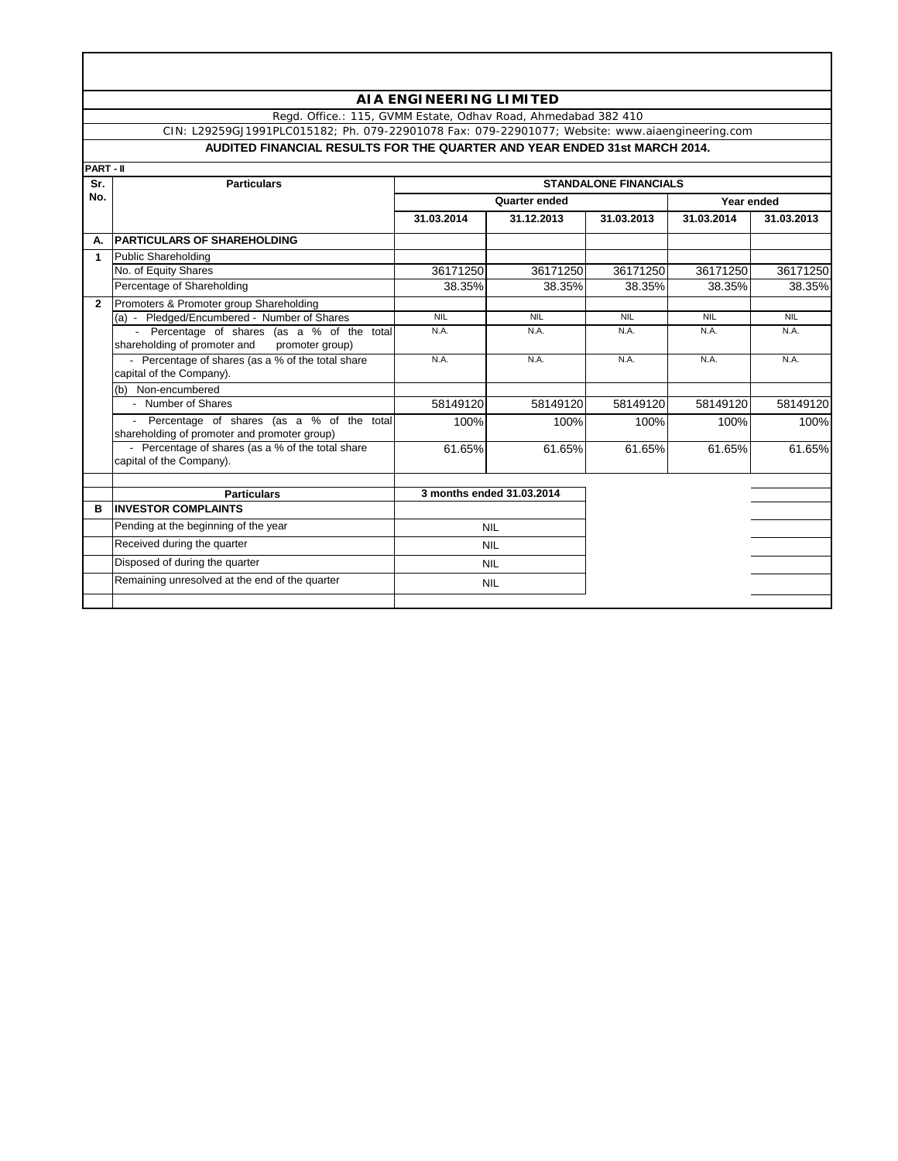Regd. Office.: 115, GVMM Estate, Odhav Road, Ahmedabad 382 410

**AUDITED FINANCIAL RESULTS FOR THE QUARTER AND YEAR ENDED 31st MARCH 2014.** CIN: L29259GJ1991PLC015182; Ph. 079-22901078 Fax: 079-22901077; Website: www.aiaengineering.com

| PART - II      |                                                                                                |                              |            |            |            |            |
|----------------|------------------------------------------------------------------------------------------------|------------------------------|------------|------------|------------|------------|
| Sr.            | <b>Particulars</b>                                                                             | <b>STANDALONE FINANCIALS</b> |            |            |            |            |
| No.            |                                                                                                | Quarter ended                |            |            | Year ended |            |
|                |                                                                                                | 31.03.2014                   | 31.12.2013 | 31.03.2013 | 31.03.2014 | 31.03.2013 |
| А.             | <b>PARTICULARS OF SHAREHOLDING</b>                                                             |                              |            |            |            |            |
| 1              | <b>Public Shareholding</b>                                                                     |                              |            |            |            |            |
|                | No. of Equity Shares                                                                           | 36171250                     | 36171250   | 36171250   | 36171250   | 36171250   |
|                | Percentage of Shareholding                                                                     | 38.35%                       | 38.35%     | 38.35%     | 38.35%     | 38.35%     |
| $\overline{2}$ | Promoters & Promoter group Shareholding                                                        |                              |            |            |            |            |
|                | (a) - Pledged/Encumbered - Number of Shares                                                    | <b>NIL</b>                   | <b>NIL</b> | <b>NIL</b> | <b>NIL</b> | <b>NIL</b> |
|                | - Percentage of shares (as a % of the total<br>shareholding of promoter and<br>promoter group) | N.A.                         | N.A.       | N.A.       | N.A.       | N.A.       |
|                | - Percentage of shares (as a % of the total share<br>capital of the Company).                  | N.A.                         | N.A.       | N.A.       | N.A.       | N.A.       |
|                | (b) Non-encumbered                                                                             |                              |            |            |            |            |
|                | - Number of Shares                                                                             | 58149120                     | 58149120   | 58149120   | 58149120   | 58149120   |
|                | Percentage of shares (as a % of the total<br>shareholding of promoter and promoter group)      | 100%                         | 100%       | 100%       | 100%       | 100%       |
|                | - Percentage of shares (as a % of the total share<br>capital of the Company).                  | 61.65%                       | 61.65%     | 61.65%     | 61.65%     | 61.65%     |
|                | <b>Particulars</b>                                                                             | 3 months ended 31.03.2014    |            |            |            |            |
| в              | <b>INVESTOR COMPLAINTS</b>                                                                     |                              |            |            |            |            |
|                | Pending at the beginning of the year                                                           | <b>NIL</b><br><b>NIL</b>     |            |            |            |            |
|                | Received during the quarter                                                                    |                              |            |            |            |            |
|                | Disposed of during the quarter                                                                 | <b>NIL</b>                   |            |            |            |            |
|                | Remaining unresolved at the end of the quarter                                                 | <b>NIL</b>                   |            |            |            |            |
|                |                                                                                                |                              |            |            |            |            |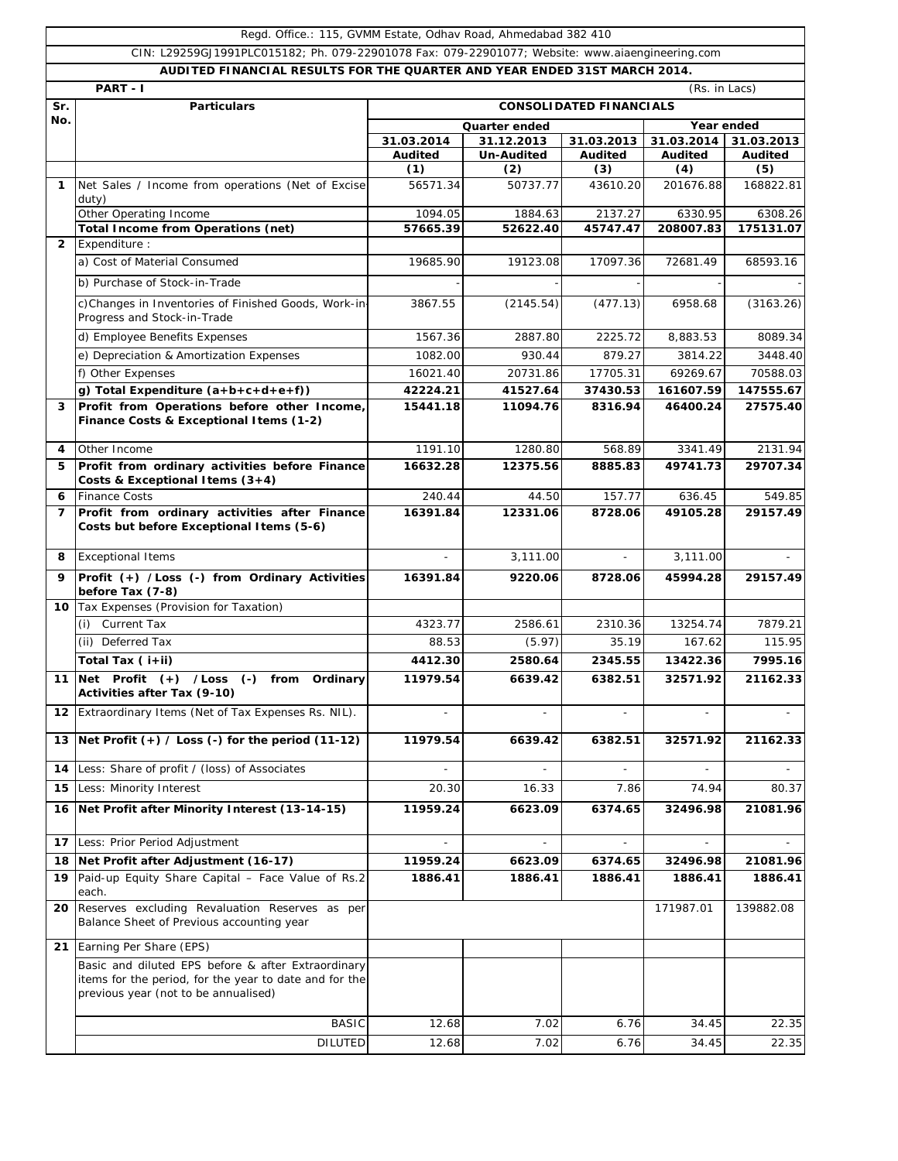|                | Regd. Office.: 115, GVMM Estate, Odhav Road, Ahmedabad 382 410                                                                                       |                                |                             |                          |                |                          |  |  |
|----------------|------------------------------------------------------------------------------------------------------------------------------------------------------|--------------------------------|-----------------------------|--------------------------|----------------|--------------------------|--|--|
|                | CIN: L29259GJ1991PLC015182; Ph. 079-22901078 Fax: 079-22901077; Website: www.aiaengineering.com                                                      |                                |                             |                          |                |                          |  |  |
|                | AUDITED FINANCIAL RESULTS FOR THE QUARTER AND YEAR ENDED 31ST MARCH 2014.                                                                            |                                |                             |                          |                |                          |  |  |
|                | PART - I                                                                                                                                             |                                |                             |                          | (Rs. in Lacs)  |                          |  |  |
| Sr.<br>No.     | <b>Particulars</b>                                                                                                                                   | <b>CONSOLIDATED FINANCIALS</b> |                             |                          |                |                          |  |  |
|                |                                                                                                                                                      |                                | Quarter ended<br>31.12.2013 |                          | 31.03.2014     | Year ended<br>31.03.2013 |  |  |
|                |                                                                                                                                                      | 31.03.2014<br><b>Audited</b>   | <b>Un-Audited</b>           | 31.03.2013<br>Audited    | <b>Audited</b> | Audited                  |  |  |
|                |                                                                                                                                                      | (1)                            | (2)                         | (3)                      | (4)            | (5)                      |  |  |
| $\mathbf{1}$   | Net Sales / Income from operations (Net of Excise                                                                                                    | 56571.34                       | 50737.77                    | 43610.20                 | 201676.88      | 168822.81                |  |  |
|                | duty)<br>Other Operating Income                                                                                                                      | 1094.05                        | 1884.63                     | 2137.27                  | 6330.95        | 6308.26                  |  |  |
|                | <b>Total Income from Operations (net)</b>                                                                                                            | 57665.39                       | 52622.40                    | 45747.47                 | 208007.83      | 175131.07                |  |  |
| $\overline{2}$ | Expenditure :                                                                                                                                        |                                |                             |                          |                |                          |  |  |
|                | a) Cost of Material Consumed                                                                                                                         | 19685.90                       | 19123.08                    | 17097.36                 | 72681.49       | 68593.16                 |  |  |
|                | b) Purchase of Stock-in-Trade                                                                                                                        |                                |                             |                          |                |                          |  |  |
|                | c)Changes in Inventories of Finished Goods, Work-in-<br>Progress and Stock-in-Trade                                                                  | 3867.55                        | (2145.54)                   | (477.13)                 | 6958.68        | (3163.26)                |  |  |
|                | d) Employee Benefits Expenses                                                                                                                        | 1567.36                        | 2887.80                     | 2225.72                  | 8,883.53       | 8089.34                  |  |  |
|                | e) Depreciation & Amortization Expenses                                                                                                              | 1082.00                        | 930.44                      | 879.27                   | 3814.22        | 3448.40                  |  |  |
|                | f) Other Expenses                                                                                                                                    | 16021.40                       | 20731.86                    | 17705.31                 | 69269.67       | 70588.03                 |  |  |
|                | g) Total Expenditure (a+b+c+d+e+f))                                                                                                                  | 42224.21                       | 41527.64                    | 37430.53                 | 161607.59      | 147555.67                |  |  |
| 3              | Profit from Operations before other Income,<br>Finance Costs & Exceptional Items (1-2)                                                               | 15441.18                       | 11094.76                    | 8316.94                  | 46400.24       | 27575.40                 |  |  |
| 4              | Other Income                                                                                                                                         | 1191.10                        | 1280.80                     | 568.89                   | 3341.49        | 2131.94                  |  |  |
| 5              | Profit from ordinary activities before Finance<br>Costs & Exceptional Items $(3+4)$                                                                  | 16632.28                       | 12375.56                    | 8885.83                  | 49741.73       | 29707.34                 |  |  |
| 6              | <b>Finance Costs</b>                                                                                                                                 | 240.44                         | 44.50                       | 157.77                   | 636.45         | 549.85                   |  |  |
| 7              | Profit from ordinary activities after Finance<br>Costs but before Exceptional Items (5-6)                                                            | 16391.84                       | 12331.06                    | 8728.06                  | 49105.28       | 29157.49                 |  |  |
| 8              | <b>Exceptional Items</b>                                                                                                                             |                                | 3,111.00                    |                          | 3,111.00       |                          |  |  |
| 9              | Profit (+) /Loss (-) from Ordinary Activities<br>before Tax (7-8)                                                                                    | 16391.84                       | 9220.06                     | 8728.06                  | 45994.28       | 29157.49                 |  |  |
| 10             | Tax Expenses (Provision for Taxation)                                                                                                                |                                |                             |                          |                |                          |  |  |
|                | <b>Current Tax</b><br>(i)                                                                                                                            | 4323.77                        | 2586.61                     | 2310.36                  | 13254.74       | 7879.21                  |  |  |
|                | (ii) Deferred Tax                                                                                                                                    | 88.53                          | (5.97)                      | 35.19                    | 167.62         | 115.95                   |  |  |
|                | Total Tax (i+ii)                                                                                                                                     | 4412.30                        | 2580.64                     | 2345.55                  | 13422.36       | 7995.16                  |  |  |
|                | 11 Net Profit (+) /Loss (-) from Ordinary<br>Activities after Tax (9-10)                                                                             | 11979.54                       | 6639.42                     | 6382.51                  | 32571.92       | 21162.33                 |  |  |
|                | 12 Extraordinary Items (Net of Tax Expenses Rs. NIL).                                                                                                |                                |                             |                          |                |                          |  |  |
|                | 13 Net Profit $(+)$ / Loss $(-)$ for the period $(11-12)$                                                                                            | 11979.54                       | 6639.42                     | 6382.51                  | 32571.92       | 21162.33                 |  |  |
| 14             | Less: Share of profit / (loss) of Associates                                                                                                         |                                |                             |                          |                |                          |  |  |
| 15             | Less: Minority Interest                                                                                                                              | 20.30                          | 16.33                       | 7.86                     | 74.94          | 80.37                    |  |  |
| 16             | Net Profit after Minority Interest (13-14-15)                                                                                                        | 11959.24                       | 6623.09                     | 6374.65                  | 32496.98       | 21081.96                 |  |  |
| 17             | Less: Prior Period Adjustment                                                                                                                        |                                | $\overline{\phantom{a}}$    | $\overline{\phantom{a}}$ |                |                          |  |  |
| 18             | Net Profit after Adjustment (16-17)                                                                                                                  | 11959.24                       | 6623.09                     | 6374.65                  | 32496.98       | 21081.96                 |  |  |
|                | 19 Paid-up Equity Share Capital - Face Value of Rs.2<br>each.                                                                                        | 1886.41                        | 1886.41                     | 1886.41                  | 1886.41        | 1886.41                  |  |  |
| 20             | Reserves excluding Revaluation Reserves as per<br>Balance Sheet of Previous accounting year                                                          |                                |                             |                          | 171987.01      | 139882.08                |  |  |
|                | 21 Earning Per Share (EPS)                                                                                                                           |                                |                             |                          |                |                          |  |  |
|                | Basic and diluted EPS before & after Extraordinary<br>items for the period, for the year to date and for the<br>previous year (not to be annualised) |                                |                             |                          |                |                          |  |  |
|                | <b>BASIC</b>                                                                                                                                         | 12.68                          | 7.02                        | 6.76                     | 34.45          | 22.35                    |  |  |
|                | <b>DILUTED</b>                                                                                                                                       | 12.68                          | 7.02                        | 6.76                     | 34.45          | 22.35                    |  |  |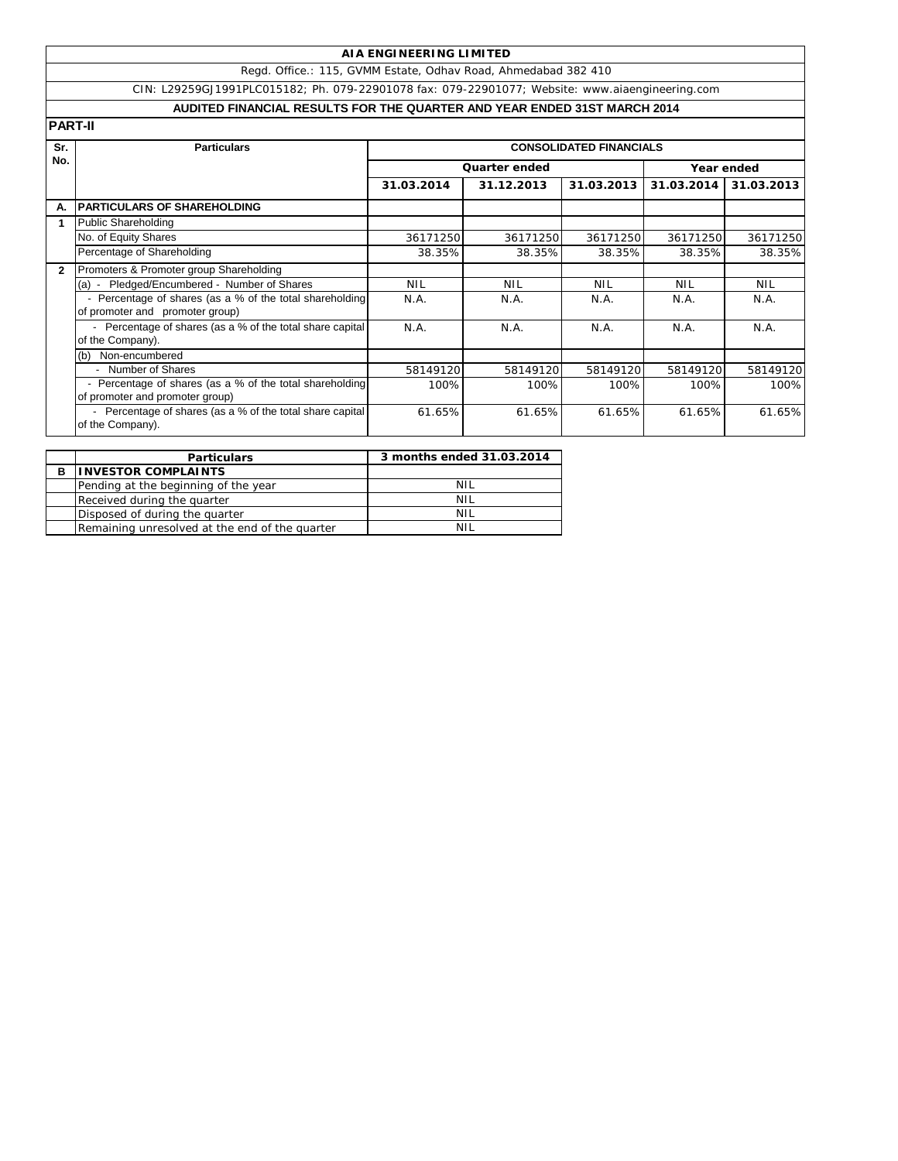Regd. Office.: 115, GVMM Estate, Odhav Road, Ahmedabad 382 410

CIN: L29259GJ1991PLC015182; Ph. 079-22901078 fax: 079-22901077; Website: www.aiaengineering.com

# **AUDITED FINANCIAL RESULTS FOR THE QUARTER AND YEAR ENDED 31ST MARCH 2014**

| Sr.                                           | <b>Particulars</b>                                                                          |            |               | <b>CONSOLIDATED FINANCIALS</b> |            |            |
|-----------------------------------------------|---------------------------------------------------------------------------------------------|------------|---------------|--------------------------------|------------|------------|
|                                               |                                                                                             |            | Quarter ended | Year ended                     |            |            |
| <b>PART-II</b><br>No.<br>А.<br>$\overline{2}$ |                                                                                             | 31.03.2014 | 31.12.2013    | 31.03.2013                     | 31.03.2014 | 31.03.2013 |
|                                               | <b>PARTICULARS OF SHAREHOLDING</b>                                                          |            |               |                                |            |            |
|                                               | <b>Public Shareholding</b>                                                                  |            |               |                                |            |            |
|                                               | No. of Equity Shares                                                                        | 36171250   | 36171250      | 36171250                       | 36171250   | 36171250   |
|                                               | Percentage of Shareholding                                                                  | 38.35%     | 38.35%        | 38.35%                         | 38.35%     | 38.35%     |
|                                               | Promoters & Promoter group Shareholding                                                     |            |               |                                |            |            |
|                                               | (a) - Pledged/Encumbered - Number of Shares                                                 | <b>NIL</b> | <b>NIL</b>    | <b>NIL</b>                     | <b>NIL</b> | <b>NIL</b> |
|                                               | - Percentage of shares (as a % of the total shareholding<br>of promoter and promoter group) | N.A.       | N.A.          | N.A.                           | N.A.       | N.A.       |
|                                               | - Percentage of shares (as a % of the total share capital<br>of the Company).               | N.A.       | N.A.          | N.A.                           | N.A.       | N.A.       |
|                                               | Non-encumbered<br>(b)                                                                       |            |               |                                |            |            |
|                                               | - Number of Shares                                                                          | 58149120   | 58149120      | 58149120                       | 58149120   | 58149120   |
|                                               | Percentage of shares (as a % of the total shareholding<br>of promoter and promoter group)   | 100%       | 100%          | 100%                           | 100%       | 100%       |
|                                               | - Percentage of shares (as a % of the total share capital<br>of the Company).               | 61.65%     | 61.65%        | 61.65%                         | 61.65%     | 61.65%     |

|   | <b>Particulars</b>                             | 3 months ended 31.03.2014 |
|---|------------------------------------------------|---------------------------|
| в | <b>INVESTOR COMPLAINTS</b>                     |                           |
|   | Pending at the beginning of the year           | NIL                       |
|   | Received during the quarter                    | NIL                       |
|   | Disposed of during the quarter                 | NIL                       |
|   | Remaining unresolved at the end of the quarter | NH                        |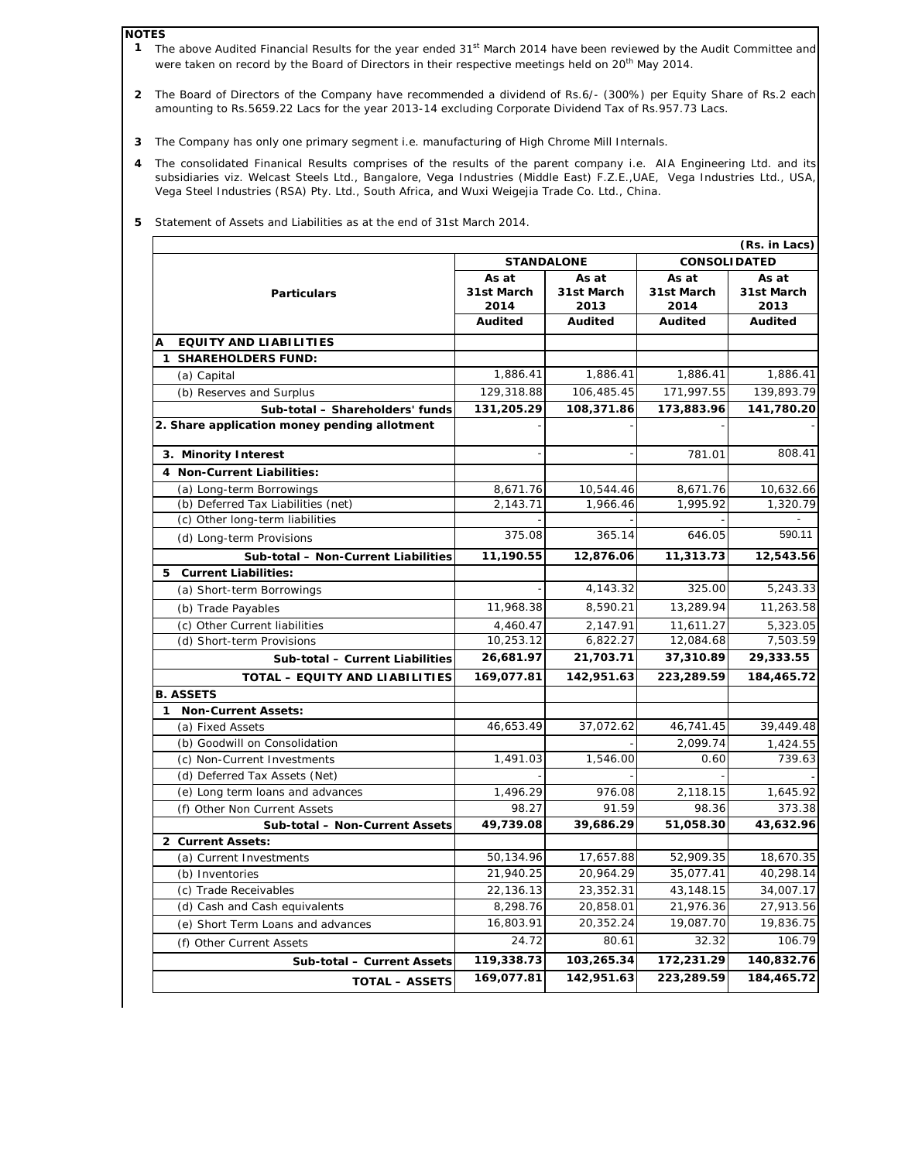#### **NOTES**

- **1** The above Audited Financial Results for the year ended 31<sup>st</sup> March 2014 have been reviewed by the Audit Committee and were taken on record by the Board of Directors in their respective meetings held on 20<sup>th</sup> May 2014.
- **2** The Board of Directors of the Company have recommended a dividend of Rs.6/- (300%) per Equity Share of Rs.2 each amounting to Rs.5659.22 Lacs for the year 2013-14 excluding Corporate Dividend Tax of Rs.957.73 Lacs.
- **3** The Company has only one primary segment i.e. manufacturing of High Chrome Mill Internals.
- **4** The consolidated Finanical Results comprises of the results of the parent company i.e. AIA Engineering Ltd. and its subsidiaries viz. Welcast Steels Ltd., Bangalore, Vega Industries (Middle East) F.Z.E.,UAE, Vega Industries Ltd., USA, Vega Steel Industries (RSA) Pty. Ltd., South Africa, and Wuxi Weigejia Trade Co. Ltd., China.

|                                              | (Rs. in Lacs)<br><b>CONSOLIDATED</b><br><b>STANDALONE</b> |                             |                             |                             |  |
|----------------------------------------------|-----------------------------------------------------------|-----------------------------|-----------------------------|-----------------------------|--|
| <b>Particulars</b>                           | As at<br>31st March<br>2014                               | As at<br>31st March<br>2013 | As at<br>31st March<br>2014 | As at<br>31st March<br>2013 |  |
|                                              | <b>Audited</b>                                            | Audited                     | Audited                     | <b>Audited</b>              |  |
| <b>EQUITY AND LIABILITIES</b><br>А           |                                                           |                             |                             |                             |  |
| 1 SHAREHOLDERS FUND:                         |                                                           |                             |                             |                             |  |
| (a) Capital                                  | 1,886.41                                                  | 1,886.41                    | 1,886.41                    | 1,886.41                    |  |
| (b) Reserves and Surplus                     | 129,318.88                                                | 106,485.45                  | 171,997.55                  | 139,893.79                  |  |
| Sub-total - Shareholders' funds              | 131,205.29                                                | 108,371.86                  | 173,883.96                  | 141,780.20                  |  |
| 2. Share application money pending allotment |                                                           |                             |                             |                             |  |
| 3. Minority Interest                         |                                                           |                             | 781.01                      | 808.41                      |  |
| 4 Non-Current Liabilities:                   |                                                           |                             |                             |                             |  |
| (a) Long-term Borrowings                     | 8,671.76                                                  | 10,544.46                   | 8,671.76                    | 10,632.66                   |  |
| (b) Deferred Tax Liabilities (net)           | 2,143.71                                                  | 1,966.46                    | 1,995.92                    | 1,320.79                    |  |
| (c) Other long-term liabilities              |                                                           |                             |                             |                             |  |
| (d) Long-term Provisions                     | 375.08                                                    | 365.14                      | 646.05                      | 590.11                      |  |
| Sub-total - Non-Current Liabilities          | 11,190.55                                                 | 12,876.06                   | 11,313.73                   | 12,543.56                   |  |
| 5 Current Liabilities:                       |                                                           |                             |                             |                             |  |
| (a) Short-term Borrowings                    |                                                           | 4,143.32                    | 325.00                      | 5,243.33                    |  |
| (b) Trade Payables                           | 11,968.38                                                 | 8,590.21                    | 13,289.94                   | 11,263.58                   |  |
| (c) Other Current liabilities                | 4,460.47                                                  | 2,147.91                    | 11,611.27                   | 5,323.05                    |  |
| (d) Short-term Provisions                    | 10,253.12                                                 | 6,822.27                    | 12,084.68                   | 7,503.59                    |  |
| Sub-total - Current Liabilities              | 26,681.97                                                 | 21,703.71                   | 37,310.89                   | 29,333.55                   |  |
| TOTAL - EQUITY AND LIABILITIES               | 169,077.81                                                | 142,951.63                  | 223,289.59                  | 184,465.72                  |  |
| <b>B. ASSETS</b>                             |                                                           |                             |                             |                             |  |
| 1 Non-Current Assets:                        |                                                           |                             |                             |                             |  |
| (a) Fixed Assets                             | 46,653.49                                                 | 37,072.62                   | 46,741.45                   | 39,449.48                   |  |
| (b) Goodwill on Consolidation                |                                                           |                             | 2,099.74                    | 1,424.55                    |  |
| (c) Non-Current Investments                  | 1,491.03                                                  | 1,546.00                    | 0.60                        | 739.63                      |  |
| (d) Deferred Tax Assets (Net)                |                                                           |                             |                             |                             |  |
| (e) Long term loans and advances             | 1,496.29                                                  | 976.08                      | 2,118.15                    | 1,645.92                    |  |
| (f) Other Non Current Assets                 | 98.27                                                     | 91.59                       | 98.36                       | 373.38                      |  |
| Sub-total - Non-Current Assets               | 49,739.08                                                 | 39,686.29                   | 51,058.30                   | 43,632.96                   |  |
| 2 Current Assets:                            |                                                           |                             |                             |                             |  |
| (a) Current Investments                      | 50,134.96                                                 | 17,657.88                   | 52,909.35                   | 18,670.35                   |  |
| (b) Inventories                              | 21.940.25                                                 | 20.964.29                   | 35,077.41                   | 40.298.14                   |  |
| (c) Trade Receivables                        | 22,136.13                                                 | 23,352.31                   | 43,148.15                   | 34,007.17                   |  |
| (d) Cash and Cash equivalents                | 8,298.76                                                  | 20,858.01                   | 21,976.36                   | 27,913.56                   |  |
| (e) Short Term Loans and advances            | 16,803.91                                                 | 20,352.24                   | 19,087.70                   | 19,836.75                   |  |
| (f) Other Current Assets                     | 24.72                                                     | 80.61                       | 32.32                       | 106.79                      |  |
| Sub-total - Current Assets                   | 119,338.73                                                | 103,265.34                  | 172,231.29                  | 140,832.76                  |  |
| <b>TOTAL - ASSETS</b>                        | 169,077.81                                                | 142,951.63                  | 223,289.59                  | 184,465.72                  |  |

**5** Statement of Assets and Liabilities as at the end of 31st March 2014.